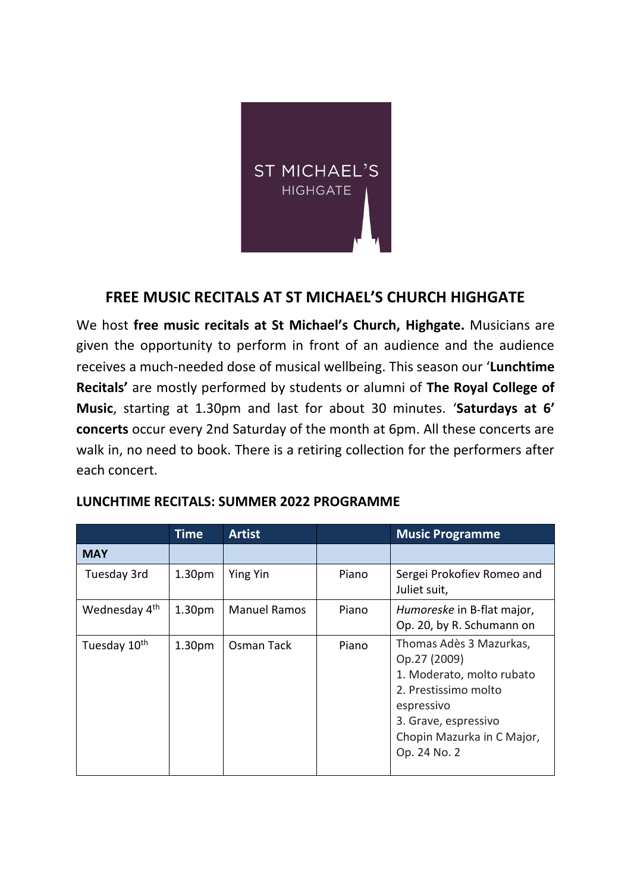

## **FREE MUSIC RECITALS AT ST MICHAEL'S CHURCH HIGHGATE**

We host **free music recitals at St Michael's Church, Highgate.** Musicians are given the opportunity to perform in front of an audience and the audience receives a much-needed dose of musical wellbeing. This season our '**Lunchtime Recitals'** are mostly performed by students or alumni of **The Royal College of Music**, starting at 1.30pm and last for about 30 minutes. '**Saturdays at 6' concerts** occur every 2nd Saturday of the month at 6pm. All these concerts are walk in, no need to book. There is a retiring collection for the performers after each concert.

|                           | <b>Time</b>        | <b>Artist</b>       |       | <b>Music Programme</b>                                                                                                                                                           |
|---------------------------|--------------------|---------------------|-------|----------------------------------------------------------------------------------------------------------------------------------------------------------------------------------|
| <b>MAY</b>                |                    |                     |       |                                                                                                                                                                                  |
| Tuesday 3rd               | 1.30 <sub>pm</sub> | <b>Ying Yin</b>     | Piano | Sergei Prokofiev Romeo and<br>Juliet suit,                                                                                                                                       |
| Wednesday 4 <sup>th</sup> | 1.30 <sub>pm</sub> | <b>Manuel Ramos</b> | Piano | Humoreske in B-flat major,<br>Op. 20, by R. Schumann on                                                                                                                          |
| Tuesday 10 <sup>th</sup>  | 1.30 <sub>pm</sub> | Osman Tack          | Piano | Thomas Adès 3 Mazurkas,<br>Op.27 (2009)<br>1. Moderato, molto rubato<br>2. Prestissimo molto<br>espressivo<br>3. Grave, espressivo<br>Chopin Mazurka in C Major,<br>Op. 24 No. 2 |

## **LUNCHTIME RECITALS: SUMMER 2022 PROGRAMME**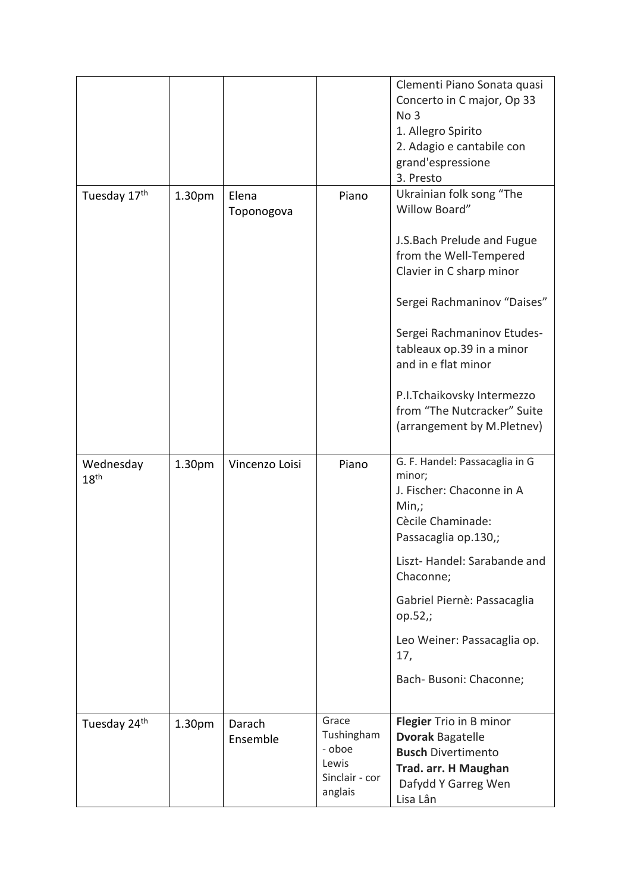|                               |        |                     |                                                                     | Clementi Piano Sonata quasi<br>Concerto in C major, Op 33<br>No <sub>3</sub><br>1. Allegro Spirito<br>2. Adagio e cantabile con<br>grand'espressione<br>3. Presto |
|-------------------------------|--------|---------------------|---------------------------------------------------------------------|-------------------------------------------------------------------------------------------------------------------------------------------------------------------|
| Tuesday 17th                  | 1.30pm | Elena<br>Toponogova | Piano                                                               | Ukrainian folk song "The<br>Willow Board"                                                                                                                         |
|                               |        |                     |                                                                     | J.S.Bach Prelude and Fugue<br>from the Well-Tempered<br>Clavier in C sharp minor                                                                                  |
|                               |        |                     |                                                                     | Sergei Rachmaninov "Daises"                                                                                                                                       |
|                               |        |                     |                                                                     | Sergei Rachmaninov Etudes-<br>tableaux op.39 in a minor<br>and in e flat minor                                                                                    |
|                               |        |                     |                                                                     | P.I.Tchaikovsky Intermezzo<br>from "The Nutcracker" Suite<br>(arrangement by M.Pletnev)                                                                           |
| Wednesday<br>18 <sup>th</sup> | 1.30pm | Vincenzo Loisi      | Piano                                                               | G. F. Handel: Passacaglia in G<br>minor;<br>J. Fischer: Chaconne in A<br>$Min,$ ;<br>Cècile Chaminade:<br>Passacaglia op.130,;                                    |
|                               |        |                     |                                                                     | Liszt-Handel: Sarabande and<br>Chaconne;                                                                                                                          |
|                               |        |                     |                                                                     | Gabriel Piernè: Passacaglia<br>op.52,;                                                                                                                            |
|                               |        |                     |                                                                     | Leo Weiner: Passacaglia op.<br>17,                                                                                                                                |
|                               |        |                     |                                                                     | Bach- Busoni: Chaconne;                                                                                                                                           |
| Tuesday 24th                  | 1.30pm | Darach<br>Ensemble  | Grace<br>Tushingham<br>- oboe<br>Lewis<br>Sinclair - cor<br>anglais | Flegier Trio in B minor<br><b>Dvorak Bagatelle</b><br><b>Busch Divertimento</b><br>Trad. arr. H Maughan<br>Dafydd Y Garreg Wen<br>Lisa Lân                        |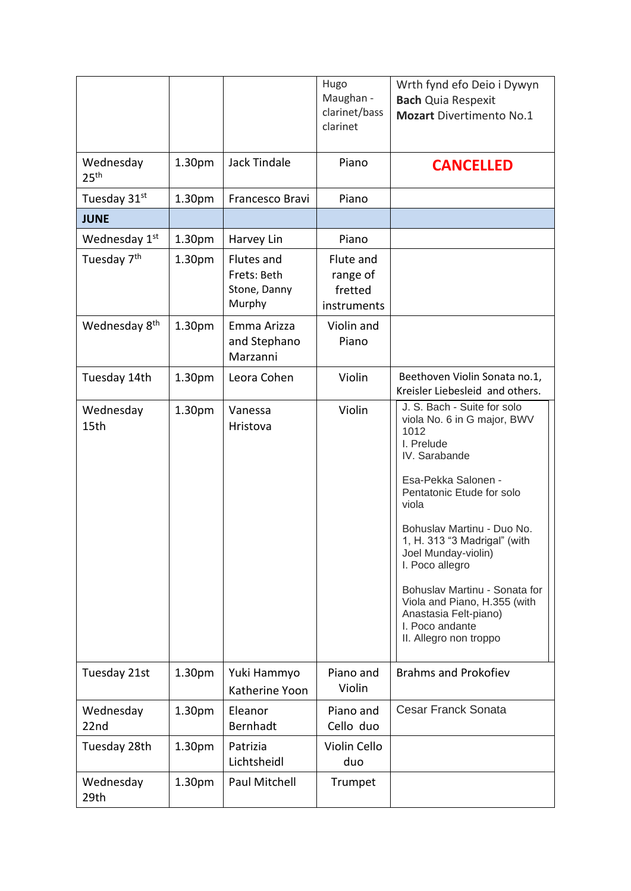|                               |                    |                                                     | Hugo<br>Maughan -<br>clarinet/bass<br>clarinet  | Wrth fynd efo Deio i Dywyn<br><b>Bach Quia Respexit</b><br><b>Mozart Divertimento No.1</b>                                                                                                                                                                                                                                                                                                                    |
|-------------------------------|--------------------|-----------------------------------------------------|-------------------------------------------------|---------------------------------------------------------------------------------------------------------------------------------------------------------------------------------------------------------------------------------------------------------------------------------------------------------------------------------------------------------------------------------------------------------------|
| Wednesday<br>25 <sup>th</sup> | 1.30pm             | <b>Jack Tindale</b>                                 | Piano                                           | <b>CANCELLED</b>                                                                                                                                                                                                                                                                                                                                                                                              |
| Tuesday 31st                  | 1.30pm             | Francesco Bravi                                     | Piano                                           |                                                                                                                                                                                                                                                                                                                                                                                                               |
| <b>JUNE</b>                   |                    |                                                     |                                                 |                                                                                                                                                                                                                                                                                                                                                                                                               |
| Wednesday 1st                 | 1.30pm             | Harvey Lin                                          | Piano                                           |                                                                                                                                                                                                                                                                                                                                                                                                               |
| Tuesday 7 <sup>th</sup>       | 1.30pm             | Flutes and<br>Frets: Beth<br>Stone, Danny<br>Murphy | Flute and<br>range of<br>fretted<br>instruments |                                                                                                                                                                                                                                                                                                                                                                                                               |
| Wednesday 8 <sup>th</sup>     | 1.30pm             | Emma Arizza<br>and Stephano<br>Marzanni             | Violin and<br>Piano                             |                                                                                                                                                                                                                                                                                                                                                                                                               |
| Tuesday 14th                  | 1.30 <sub>pm</sub> | Leora Cohen                                         | Violin                                          | Beethoven Violin Sonata no.1,<br>Kreisler Liebesleid and others.                                                                                                                                                                                                                                                                                                                                              |
| Wednesday<br>15th             | 1.30 <sub>pm</sub> | Vanessa<br>Hristova                                 | Violin                                          | J. S. Bach - Suite for solo<br>viola No. 6 in G major, BWV<br>1012<br>I. Prelude<br>IV. Sarabande<br>Esa-Pekka Salonen -<br>Pentatonic Etude for solo<br>viola<br>Bohuslav Martinu - Duo No.<br>1, H. 313 "3 Madrigal" (with<br>Joel Munday-violin)<br>I. Poco allegro<br>Bohuslav Martinu - Sonata for<br>Viola and Piano, H.355 (with<br>Anastasia Felt-piano)<br>I. Poco andante<br>II. Allegro non troppo |
| Tuesday 21st                  | 1.30 <sub>pm</sub> | Yuki Hammyo<br>Katherine Yoon                       | Piano and<br>Violin                             | <b>Brahms and Prokofiev</b>                                                                                                                                                                                                                                                                                                                                                                                   |
| Wednesday<br>22nd             | 1.30 <sub>pm</sub> | Eleanor<br>Bernhadt                                 | Piano and<br>Cello duo                          | <b>Cesar Franck Sonata</b>                                                                                                                                                                                                                                                                                                                                                                                    |
| Tuesday 28th                  | 1.30 <sub>pm</sub> | Patrizia<br>Lichtsheidl                             | Violin Cello<br>duo                             |                                                                                                                                                                                                                                                                                                                                                                                                               |
| Wednesday<br>29th             | 1.30 <sub>pm</sub> | Paul Mitchell                                       | Trumpet                                         |                                                                                                                                                                                                                                                                                                                                                                                                               |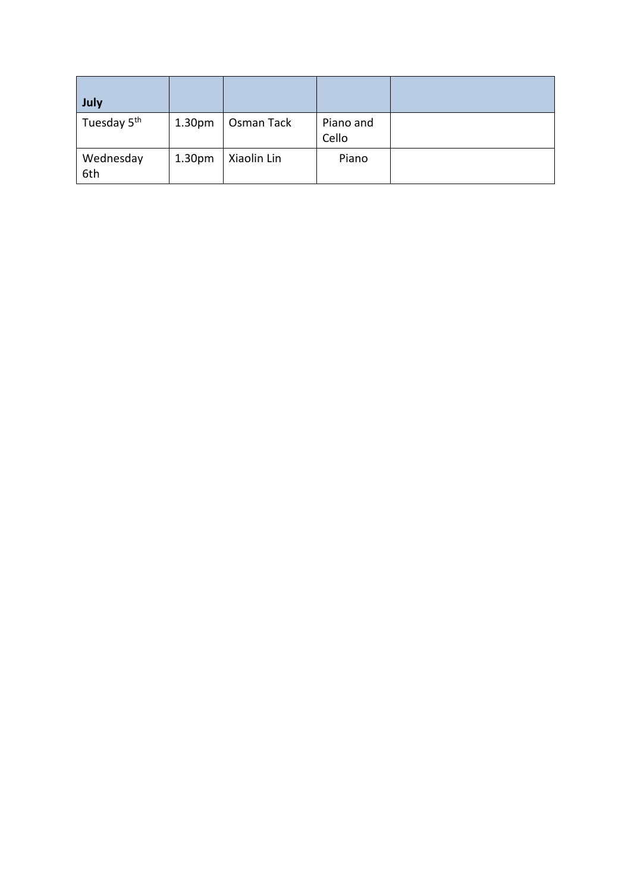| July                    |                    |             |                    |  |
|-------------------------|--------------------|-------------|--------------------|--|
| Tuesday 5 <sup>th</sup> | 1.30 <sub>pm</sub> | Osman Tack  | Piano and<br>Cello |  |
| Wednesday<br>6th        | 1.30 <sub>pm</sub> | Xiaolin Lin | Piano              |  |